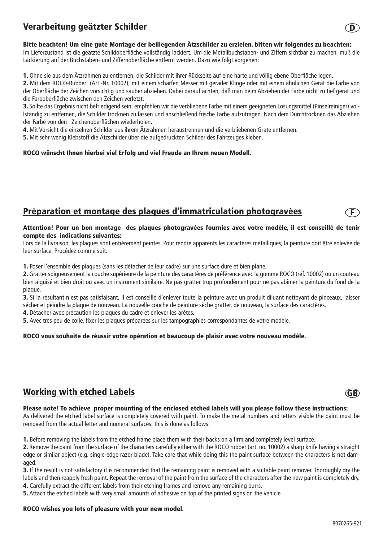# Verarbeitung geätzter Schilder

### Bitte beachten! Um eine gute Montage der beiliegenden Ätzschilder zu erzielen, bitten wir folgendes zu beachten:

Im Lieferzustand ist die geätzte Schildoberfläche vollständig lackiert. Um die Metallbuchstaben- und Ziffern sichtbar zu machen, muß die Lackierung auf der Buchstaben- und Ziffernoberfläche entfernt werden. Dazu wie folgt vorgehen:

1. Ohne sie aus dem Ätzrahmen zu entfernen, die Schilder mit ihrer Rückseite auf eine harte und völlig ebene Oberfläche legen.

2. Mit dem ROCO-Rubber (Art.-Nr. 10002), mit einem scharfen Messer mit gerader Klinge oder mit einem ähnlichen Gerät die Farbe von der Oberfläche der Zeichen vorsichtig und sauber abziehen. Dabei darauf achten, daß man beim Abziehen der Farbe nicht zu tief gerät und die Farboberfläche zwischen den Zeichen verletzt.

3. Sollte das Ergebnis nicht befriedigend sein, empfehlen wir die verbliebene Farbe mit einem geeigneten Lösungsmittel (Pinselreiniger) vollständig zu entfernen, die Schilder trocknen zu lassen und anschließend frische Farbe aufzutragen. Nach dem Durchtrocknen das Abziehen der Farbe von den Zeichenoberflächen wiederholen.

4. Mit Vorsicht die einzelnen Schilder aus ihrem Ätzrahmen heraustrennen und die verbliebenen Grate entfernen.

5. Mit sehr wenig Klebstoff die Ätzschilder über die aufgedruckten Schilder des Fahrzeuges kleben.

#### ROCO wünscht Ihnen hierbei viel Erfolg und viel Freude an Ihrem neuen Modell.

## Préparation et montage des plaques d'immatriculation photogravées

#### Attention! Pour un bon montage des plaques photogravées fournies avec votre modèle, il est conseillé de tenir compte des indications suivantes:

Lors de la livraison, les plaques sont entièrement peintes. Pour rendre apparents les caractères métalliques, la peinture doit être enlevée de leur surface. Procédez comme suit:

1. Poser l'ensemble des plaques (sans les détacher de leur cadre) sur une surface dure et bien plane.

2. Gratter soigneusement la couche supérieure de la peinture des caractères de préférence avec la gomme ROCO (réf. 10002) ou un couteau bien aiguisé et bien droit ou avec un instrument similaire. Ne pas gratter trop profondément pour ne pas abîmer la peinture du fond de la plaque.

3. Si la résultant n'est pas satisfaisant, il est conseillé d'enlever toute la peinture avec un produit diluant nettoyant de pinceaux, laisser sécher et peindre la plaque de nouveau. La nouvelle couche de peinture sèche gratter, de nouveau, la surface des caractères.

4. Détacher avec précaution les plaques du cadre et enlever les arêtes.

5. Avec très peu de colle, fixer les plaques préparées sur les tampographies correspondantes de votre modèle.

### ROCO vous souhaite de réussir votre opération et beaucoup de plaisir avec votre nouveau modèle.

# Working with etched Labels

#### Please note! To achieve proper mounting of the enclosed etched labels will you please follow these instructions:

As delivered the etched label surface is completely covered with paint. To make the metal numbers and letters visible the paint must be removed from the actual letter and numeral surfaces: this is done as follows:

1. Before removing the labels from the etched frame place them with their backs on a firm and completely level surface.

2. Remove the paint from the surface of the characters carefully either with the ROCO rubber (art. no. 10002) a sharp knife having a straight edge or similar object (e.g. single-edge razor blade). Take care that while doing this the paint surface between the characters is not damaged.

3. If the result is not satisfactory it is recommended that the remaining paint is removed with a suitable paint remover. Thoroughly dry the labels and then reapply fresh paint. Repeat the removal of the paint from the surface of the characters after the new paint is completely dry. 4. Carefully extract the different labels from their etching frames and remove any remaining burrs.

5. Attach the etched labels with very small amounts of adhesive on top of the printed signs on the vehicle.

#### ROCO wishes you lots of pleasure with your new model.





 $\ket{\mathsf{F}}$